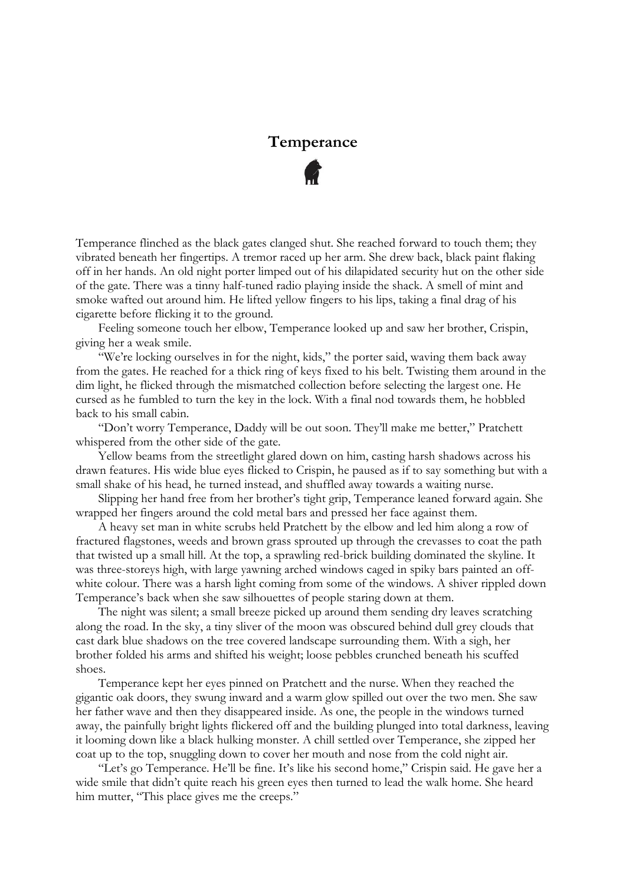## **Temperance**

Temperance flinched as the black gates clanged shut. She reached forward to touch them; they vibrated beneath her fingertips. A tremor raced up her arm. She drew back, black paint flaking off in her hands. An old night porter limped out of his dilapidated security hut on the other side of the gate. There was a tinny half-tuned radio playing inside the shack. A smell of mint and smoke wafted out around him. He lifted yellow fingers to his lips, taking a final drag of his cigarette before flicking it to the ground.

Feeling someone touch her elbow, Temperance looked up and saw her brother, Crispin, giving her a weak smile.

"We're locking ourselves in for the night, kids," the porter said, waving them back away from the gates. He reached for a thick ring of keys fixed to his belt. Twisting them around in the dim light, he flicked through the mismatched collection before selecting the largest one. He cursed as he fumbled to turn the key in the lock. With a final nod towards them, he hobbled back to his small cabin.

"Don't worry Temperance, Daddy will be out soon. They'll make me better," Pratchett whispered from the other side of the gate.

Yellow beams from the streetlight glared down on him, casting harsh shadows across his drawn features. His wide blue eyes flicked to Crispin, he paused as if to say something but with a small shake of his head, he turned instead, and shuffled away towards a waiting nurse.

Slipping her hand free from her brother's tight grip, Temperance leaned forward again. She wrapped her fingers around the cold metal bars and pressed her face against them.

A heavy set man in white scrubs held Pratchett by the elbow and led him along a row of fractured flagstones, weeds and brown grass sprouted up through the crevasses to coat the path that twisted up a small hill. At the top, a sprawling red-brick building dominated the skyline. It was three-storeys high, with large yawning arched windows caged in spiky bars painted an offwhite colour. There was a harsh light coming from some of the windows. A shiver rippled down Temperance's back when she saw silhouettes of people staring down at them.

The night was silent; a small breeze picked up around them sending dry leaves scratching along the road. In the sky, a tiny sliver of the moon was obscured behind dull grey clouds that cast dark blue shadows on the tree covered landscape surrounding them. With a sigh, her brother folded his arms and shifted his weight; loose pebbles crunched beneath his scuffed shoes.

Temperance kept her eyes pinned on Pratchett and the nurse. When they reached the gigantic oak doors, they swung inward and a warm glow spilled out over the two men. She saw her father wave and then they disappeared inside. As one, the people in the windows turned away, the painfully bright lights flickered off and the building plunged into total darkness, leaving it looming down like a black hulking monster. A chill settled over Temperance, she zipped her coat up to the top, snuggling down to cover her mouth and nose from the cold night air.

"Let's go Temperance. He'll be fine. It's like his second home," Crispin said. He gave her a wide smile that didn't quite reach his green eyes then turned to lead the walk home. She heard him mutter, "This place gives me the creeps."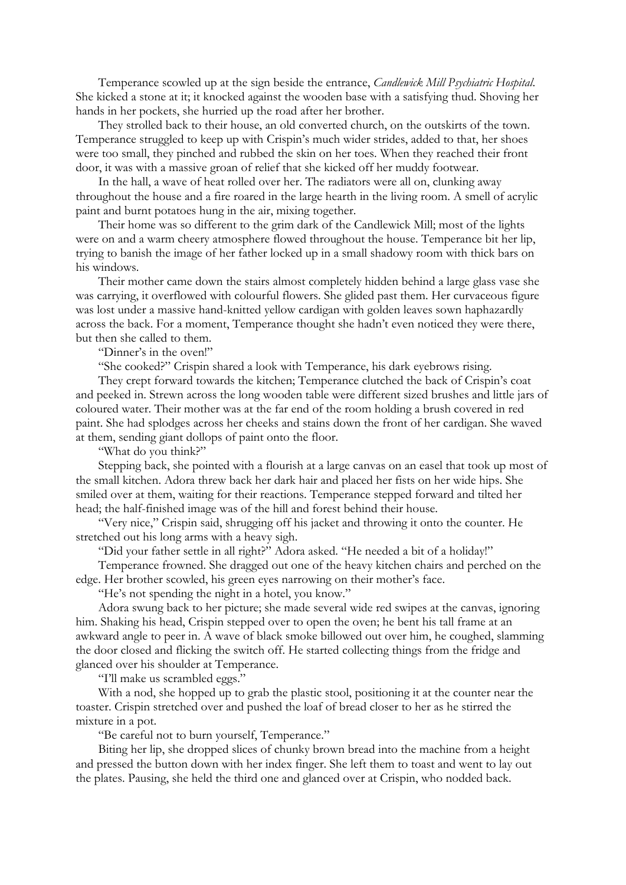Temperance scowled up at the sign beside the entrance, *Candlewick Mill Psychiatric Hospital*. She kicked a stone at it; it knocked against the wooden base with a satisfying thud. Shoving her hands in her pockets, she hurried up the road after her brother.

They strolled back to their house, an old converted church, on the outskirts of the town. Temperance struggled to keep up with Crispin's much wider strides, added to that, her shoes were too small, they pinched and rubbed the skin on her toes. When they reached their front door, it was with a massive groan of relief that she kicked off her muddy footwear.

In the hall, a wave of heat rolled over her. The radiators were all on, clunking away throughout the house and a fire roared in the large hearth in the living room. A smell of acrylic paint and burnt potatoes hung in the air, mixing together.

Their home was so different to the grim dark of the Candlewick Mill; most of the lights were on and a warm cheery atmosphere flowed throughout the house. Temperance bit her lip, trying to banish the image of her father locked up in a small shadowy room with thick bars on his windows.

Their mother came down the stairs almost completely hidden behind a large glass vase she was carrying, it overflowed with colourful flowers. She glided past them. Her curvaceous figure was lost under a massive hand-knitted yellow cardigan with golden leaves sown haphazardly across the back. For a moment, Temperance thought she hadn't even noticed they were there, but then she called to them.

"Dinner's in the oven!"

"She cooked?" Crispin shared a look with Temperance, his dark eyebrows rising.

They crept forward towards the kitchen; Temperance clutched the back of Crispin's coat and peeked in. Strewn across the long wooden table were different sized brushes and little jars of coloured water. Their mother was at the far end of the room holding a brush covered in red paint. She had splodges across her cheeks and stains down the front of her cardigan. She waved at them, sending giant dollops of paint onto the floor.

"What do you think?"

Stepping back, she pointed with a flourish at a large canvas on an easel that took up most of the small kitchen. Adora threw back her dark hair and placed her fists on her wide hips. She smiled over at them, waiting for their reactions. Temperance stepped forward and tilted her head; the half-finished image was of the hill and forest behind their house.

"Very nice," Crispin said, shrugging off his jacket and throwing it onto the counter. He stretched out his long arms with a heavy sigh.

"Did your father settle in all right?" Adora asked. "He needed a bit of a holiday!"

Temperance frowned. She dragged out one of the heavy kitchen chairs and perched on the edge. Her brother scowled, his green eyes narrowing on their mother's face.

"He's not spending the night in a hotel, you know."

Adora swung back to her picture; she made several wide red swipes at the canvas, ignoring him. Shaking his head, Crispin stepped over to open the oven; he bent his tall frame at an awkward angle to peer in. A wave of black smoke billowed out over him, he coughed, slamming the door closed and flicking the switch off. He started collecting things from the fridge and glanced over his shoulder at Temperance.

"I'll make us scrambled eggs."

With a nod, she hopped up to grab the plastic stool, positioning it at the counter near the toaster. Crispin stretched over and pushed the loaf of bread closer to her as he stirred the mixture in a pot.

"Be careful not to burn yourself, Temperance."

Biting her lip, she dropped slices of chunky brown bread into the machine from a height and pressed the button down with her index finger. She left them to toast and went to lay out the plates. Pausing, she held the third one and glanced over at Crispin, who nodded back.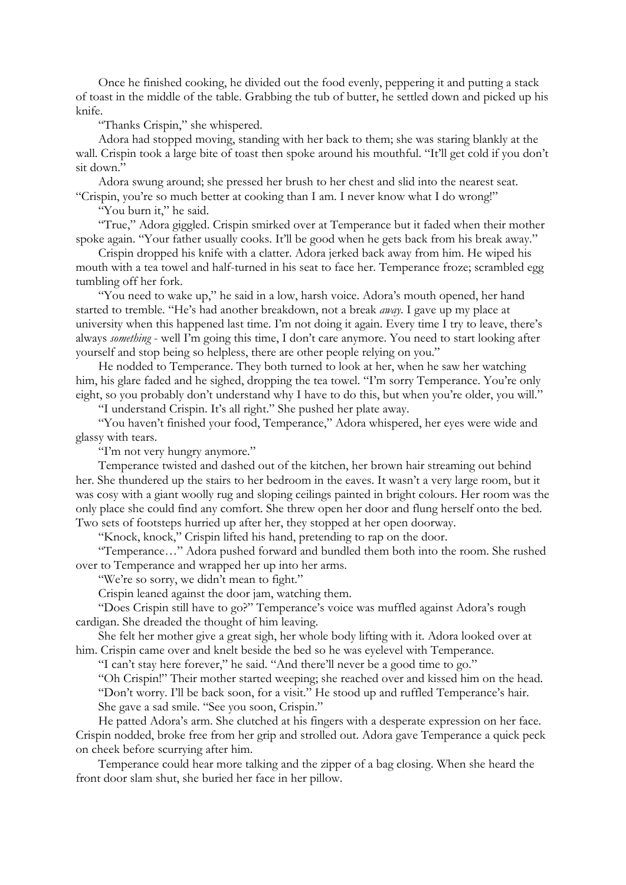Once he finished cooking, he divided out the food evenly, peppering it and putting a stack of toast in the middle of the table. Grabbing the tub of butter, he settled down and picked up his knife.

## "Thanks Crispin," she whispered.

Adora had stopped moving, standing with her back to them; she was staring blankly at the wall. Crispin took a large bite of toast then spoke around his mouthful. "It'll get cold if you don't sit down."

Adora swung around; she pressed her brush to her chest and slid into the nearest seat. "Crispin, you're so much better at cooking than I am. I never know what I do wrong!"

"You burn it," he said.

"True," Adora giggled. Crispin smirked over at Temperance but it faded when their mother spoke again. "Your father usually cooks. It'll be good when he gets back from his break away."

Crispin dropped his knife with a clatter. Adora jerked back away from him. He wiped his mouth with a tea towel and half-turned in his seat to face her. Temperance froze; scrambled egg tumbling off her fork.

"You need to wake up," he said in a low, harsh voice. Adora's mouth opened, her hand started to tremble. "He's had another breakdown, not a break *away*. I gave up my place at university when this happened last time. I'm not doing it again. Every time I try to leave, there's always *something* - well I'm going this time, I don't care anymore. You need to start looking after yourself and stop being so helpless, there are other people relying on you."

He nodded to Temperance. They both turned to look at her, when he saw her watching him, his glare faded and he sighed, dropping the tea towel. "I'm sorry Temperance. You're only eight, so you probably don't understand why I have to do this, but when you're older, you will."

"I understand Crispin. It's all right." She pushed her plate away.

"You haven't finished your food, Temperance," Adora whispered, her eyes were wide and glassy with tears.

"I'm not very hungry anymore."

Temperance twisted and dashed out of the kitchen, her brown hair streaming out behind her. She thundered up the stairs to her bedroom in the eaves. It wasn't a very large room, but it was cosy with a giant woolly rug and sloping ceilings painted in bright colours. Her room was the only place she could find any comfort. She threw open her door and flung herself onto the bed. Two sets of footsteps hurried up after her, they stopped at her open doorway.

"Knock, knock," Crispin lifted his hand, pretending to rap on the door.

"Temperance…" Adora pushed forward and bundled them both into the room. She rushed over to Temperance and wrapped her up into her arms.

"We're so sorry, we didn't mean to fight."

Crispin leaned against the door jam, watching them.

"Does Crispin still have to go?" Temperance's voice was muffled against Adora's rough cardigan. She dreaded the thought of him leaving.

She felt her mother give a great sigh, her whole body lifting with it. Adora looked over at him. Crispin came over and knelt beside the bed so he was eyelevel with Temperance.

"I can't stay here forever," he said. "And there'll never be a good time to go."

"Oh Crispin!" Their mother started weeping; she reached over and kissed him on the head. "Don't worry. I'll be back soon, for a visit." He stood up and ruffled Temperance's hair. She gave a sad smile. "See you soon, Crispin."

He patted Adora's arm. She clutched at his fingers with a desperate expression on her face. Crispin nodded, broke free from her grip and strolled out. Adora gave Temperance a quick peck on cheek before scurrying after him.

Temperance could hear more talking and the zipper of a bag closing. When she heard the front door slam shut, she buried her face in her pillow.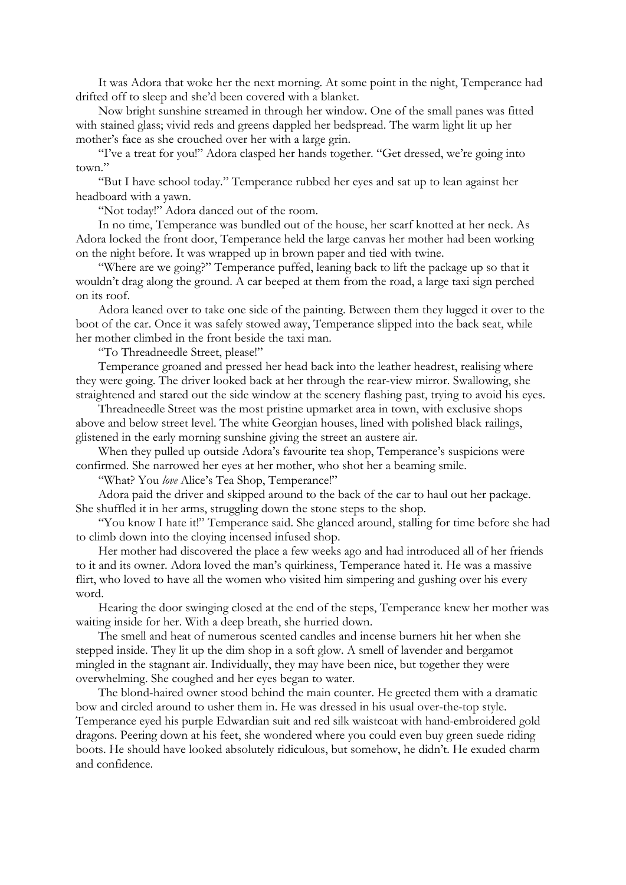It was Adora that woke her the next morning. At some point in the night, Temperance had drifted off to sleep and she'd been covered with a blanket.

Now bright sunshine streamed in through her window. One of the small panes was fitted with stained glass; vivid reds and greens dappled her bedspread. The warm light lit up her mother's face as she crouched over her with a large grin.

"I've a treat for you!" Adora clasped her hands together. "Get dressed, we're going into town."

"But I have school today." Temperance rubbed her eyes and sat up to lean against her headboard with a yawn.

"Not today!" Adora danced out of the room.

In no time, Temperance was bundled out of the house, her scarf knotted at her neck. As Adora locked the front door, Temperance held the large canvas her mother had been working on the night before. It was wrapped up in brown paper and tied with twine.

"Where are we going?" Temperance puffed, leaning back to lift the package up so that it wouldn't drag along the ground. A car beeped at them from the road, a large taxi sign perched on its roof.

Adora leaned over to take one side of the painting. Between them they lugged it over to the boot of the car. Once it was safely stowed away, Temperance slipped into the back seat, while her mother climbed in the front beside the taxi man.

"To Threadneedle Street, please!"

Temperance groaned and pressed her head back into the leather headrest, realising where they were going. The driver looked back at her through the rear-view mirror. Swallowing, she straightened and stared out the side window at the scenery flashing past, trying to avoid his eyes.

Threadneedle Street was the most pristine upmarket area in town, with exclusive shops above and below street level. The white Georgian houses, lined with polished black railings, glistened in the early morning sunshine giving the street an austere air.

When they pulled up outside Adora's favourite tea shop, Temperance's suspicions were confirmed. She narrowed her eyes at her mother, who shot her a beaming smile.

"What? You *love* Alice's Tea Shop, Temperance!"

Adora paid the driver and skipped around to the back of the car to haul out her package. She shuffled it in her arms, struggling down the stone steps to the shop.

"You know I hate it!" Temperance said. She glanced around, stalling for time before she had to climb down into the cloying incensed infused shop.

Her mother had discovered the place a few weeks ago and had introduced all of her friends to it and its owner. Adora loved the man's quirkiness, Temperance hated it. He was a massive flirt, who loved to have all the women who visited him simpering and gushing over his every word.

Hearing the door swinging closed at the end of the steps, Temperance knew her mother was waiting inside for her. With a deep breath, she hurried down.

The smell and heat of numerous scented candles and incense burners hit her when she stepped inside. They lit up the dim shop in a soft glow. A smell of lavender and bergamot mingled in the stagnant air. Individually, they may have been nice, but together they were overwhelming. She coughed and her eyes began to water.

The blond-haired owner stood behind the main counter. He greeted them with a dramatic bow and circled around to usher them in. He was dressed in his usual over-the-top style. Temperance eyed his purple Edwardian suit and red silk waistcoat with hand-embroidered gold dragons. Peering down at his feet, she wondered where you could even buy green suede riding boots. He should have looked absolutely ridiculous, but somehow, he didn't. He exuded charm and confidence.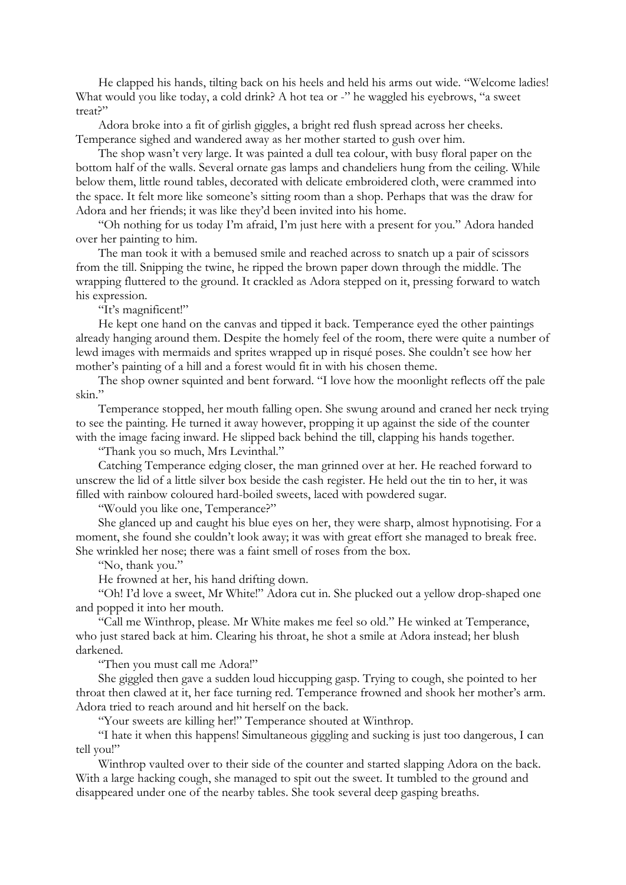He clapped his hands, tilting back on his heels and held his arms out wide. "Welcome ladies! What would you like today, a cold drink? A hot tea or -" he waggled his eyebrows, "a sweet treat?"

Adora broke into a fit of girlish giggles, a bright red flush spread across her cheeks. Temperance sighed and wandered away as her mother started to gush over him.

The shop wasn't very large. It was painted a dull tea colour, with busy floral paper on the bottom half of the walls. Several ornate gas lamps and chandeliers hung from the ceiling. While below them, little round tables, decorated with delicate embroidered cloth, were crammed into the space. It felt more like someone's sitting room than a shop. Perhaps that was the draw for Adora and her friends; it was like they'd been invited into his home.

"Oh nothing for us today I'm afraid, I'm just here with a present for you." Adora handed over her painting to him.

The man took it with a bemused smile and reached across to snatch up a pair of scissors from the till. Snipping the twine, he ripped the brown paper down through the middle. The wrapping fluttered to the ground. It crackled as Adora stepped on it, pressing forward to watch his expression.

"It's magnificent!"

He kept one hand on the canvas and tipped it back. Temperance eyed the other paintings already hanging around them. Despite the homely feel of the room, there were quite a number of lewd images with mermaids and sprites wrapped up in risqué poses. She couldn't see how her mother's painting of a hill and a forest would fit in with his chosen theme.

The shop owner squinted and bent forward. "I love how the moonlight reflects off the pale skin."

Temperance stopped, her mouth falling open. She swung around and craned her neck trying to see the painting. He turned it away however, propping it up against the side of the counter with the image facing inward. He slipped back behind the till, clapping his hands together.

"Thank you so much, Mrs Levinthal."

Catching Temperance edging closer, the man grinned over at her. He reached forward to unscrew the lid of a little silver box beside the cash register. He held out the tin to her, it was filled with rainbow coloured hard-boiled sweets, laced with powdered sugar.

"Would you like one, Temperance?"

She glanced up and caught his blue eyes on her, they were sharp, almost hypnotising. For a moment, she found she couldn't look away; it was with great effort she managed to break free. She wrinkled her nose; there was a faint smell of roses from the box.

"No, thank you."

He frowned at her, his hand drifting down.

"Oh! I'd love a sweet, Mr White!" Adora cut in. She plucked out a yellow drop-shaped one and popped it into her mouth.

"Call me Winthrop, please. Mr White makes me feel so old." He winked at Temperance, who just stared back at him. Clearing his throat, he shot a smile at Adora instead; her blush darkened.

"Then you must call me Adora!"

She giggled then gave a sudden loud hiccupping gasp. Trying to cough, she pointed to her throat then clawed at it, her face turning red. Temperance frowned and shook her mother's arm. Adora tried to reach around and hit herself on the back.

"Your sweets are killing her!" Temperance shouted at Winthrop.

"I hate it when this happens! Simultaneous giggling and sucking is just too dangerous, I can tell you!"

Winthrop vaulted over to their side of the counter and started slapping Adora on the back. With a large hacking cough, she managed to spit out the sweet. It tumbled to the ground and disappeared under one of the nearby tables. She took several deep gasping breaths.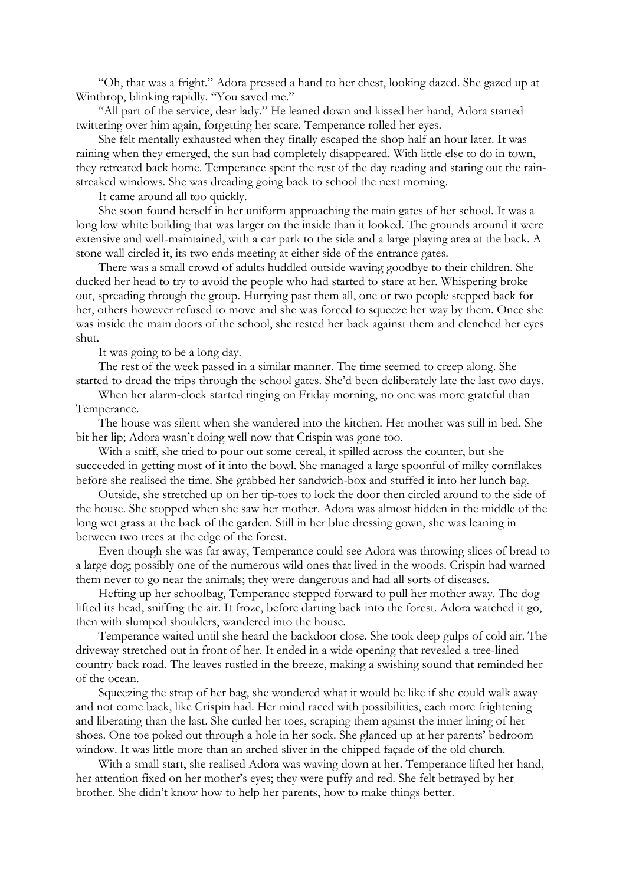"Oh, that was a fright." Adora pressed a hand to her chest, looking dazed. She gazed up at Winthrop, blinking rapidly. "You saved me."

"All part of the service, dear lady." He leaned down and kissed her hand, Adora started twittering over him again, forgetting her scare. Temperance rolled her eyes.

She felt mentally exhausted when they finally escaped the shop half an hour later. It was raining when they emerged, the sun had completely disappeared. With little else to do in town, they retreated back home. Temperance spent the rest of the day reading and staring out the rainstreaked windows. She was dreading going back to school the next morning.

It came around all too quickly.

She soon found herself in her uniform approaching the main gates of her school. It was a long low white building that was larger on the inside than it looked. The grounds around it were extensive and well-maintained, with a car park to the side and a large playing area at the back. A stone wall circled it, its two ends meeting at either side of the entrance gates.

There was a small crowd of adults huddled outside waving goodbye to their children. She ducked her head to try to avoid the people who had started to stare at her. Whispering broke out, spreading through the group. Hurrying past them all, one or two people stepped back for her, others however refused to move and she was forced to squeeze her way by them. Once she was inside the main doors of the school, she rested her back against them and clenched her eyes shut.

It was going to be a long day.

The rest of the week passed in a similar manner. The time seemed to creep along. She started to dread the trips through the school gates. She'd been deliberately late the last two days.

When her alarm-clock started ringing on Friday morning, no one was more grateful than Temperance.

The house was silent when she wandered into the kitchen. Her mother was still in bed. She bit her lip; Adora wasn't doing well now that Crispin was gone too.

With a sniff, she tried to pour out some cereal, it spilled across the counter, but she succeeded in getting most of it into the bowl. She managed a large spoonful of milky cornflakes before she realised the time. She grabbed her sandwich-box and stuffed it into her lunch bag.

Outside, she stretched up on her tip-toes to lock the door then circled around to the side of the house. She stopped when she saw her mother. Adora was almost hidden in the middle of the long wet grass at the back of the garden. Still in her blue dressing gown, she was leaning in between two trees at the edge of the forest.

Even though she was far away, Temperance could see Adora was throwing slices of bread to a large dog; possibly one of the numerous wild ones that lived in the woods. Crispin had warned them never to go near the animals; they were dangerous and had all sorts of diseases.

Hefting up her schoolbag, Temperance stepped forward to pull her mother away. The dog lifted its head, sniffing the air. It froze, before darting back into the forest. Adora watched it go, then with slumped shoulders, wandered into the house.

Temperance waited until she heard the backdoor close. She took deep gulps of cold air. The driveway stretched out in front of her. It ended in a wide opening that revealed a tree-lined country back road. The leaves rustled in the breeze, making a swishing sound that reminded her of the ocean.

Squeezing the strap of her bag, she wondered what it would be like if she could walk away and not come back, like Crispin had. Her mind raced with possibilities, each more frightening and liberating than the last. She curled her toes, scraping them against the inner lining of her shoes. One toe poked out through a hole in her sock. She glanced up at her parents' bedroom window. It was little more than an arched sliver in the chipped façade of the old church.

With a small start, she realised Adora was waving down at her. Temperance lifted her hand, her attention fixed on her mother's eyes; they were puffy and red. She felt betrayed by her brother. She didn't know how to help her parents, how to make things better.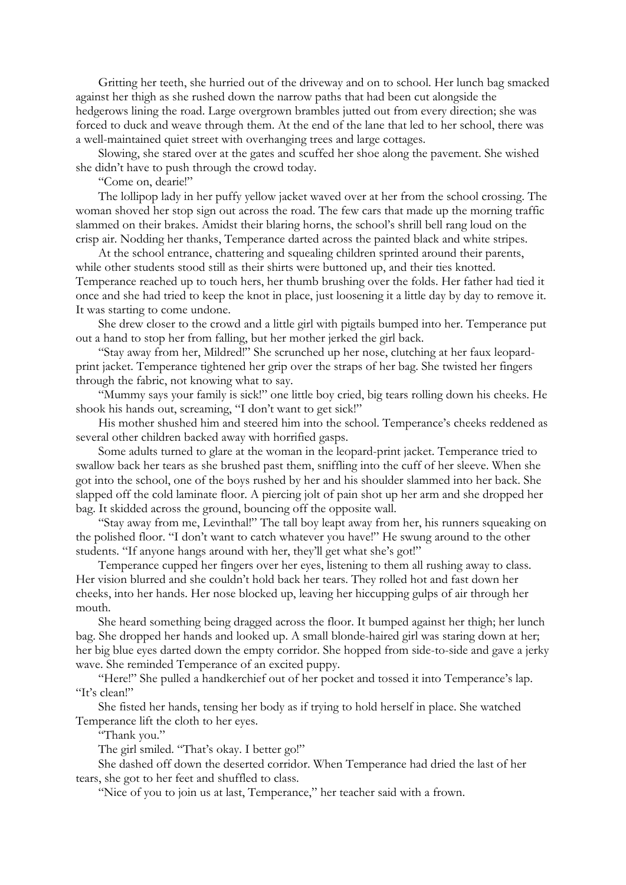Gritting her teeth, she hurried out of the driveway and on to school. Her lunch bag smacked against her thigh as she rushed down the narrow paths that had been cut alongside the hedgerows lining the road. Large overgrown brambles jutted out from every direction; she was forced to duck and weave through them. At the end of the lane that led to her school, there was a well-maintained quiet street with overhanging trees and large cottages.

Slowing, she stared over at the gates and scuffed her shoe along the pavement. She wished she didn't have to push through the crowd today.

"Come on, dearie!"

The lollipop lady in her puffy yellow jacket waved over at her from the school crossing. The woman shoved her stop sign out across the road. The few cars that made up the morning traffic slammed on their brakes. Amidst their blaring horns, the school's shrill bell rang loud on the crisp air. Nodding her thanks, Temperance darted across the painted black and white stripes.

At the school entrance, chattering and squealing children sprinted around their parents, while other students stood still as their shirts were buttoned up, and their ties knotted. Temperance reached up to touch hers, her thumb brushing over the folds. Her father had tied it once and she had tried to keep the knot in place, just loosening it a little day by day to remove it. It was starting to come undone.

She drew closer to the crowd and a little girl with pigtails bumped into her. Temperance put out a hand to stop her from falling, but her mother jerked the girl back.

"Stay away from her, Mildred!" She scrunched up her nose, clutching at her faux leopardprint jacket. Temperance tightened her grip over the straps of her bag. She twisted her fingers through the fabric, not knowing what to say.

"Mummy says your family is sick!" one little boy cried, big tears rolling down his cheeks. He shook his hands out, screaming, "I don't want to get sick!"

His mother shushed him and steered him into the school. Temperance's cheeks reddened as several other children backed away with horrified gasps.

Some adults turned to glare at the woman in the leopard-print jacket. Temperance tried to swallow back her tears as she brushed past them, sniffling into the cuff of her sleeve. When she got into the school, one of the boys rushed by her and his shoulder slammed into her back. She slapped off the cold laminate floor. A piercing jolt of pain shot up her arm and she dropped her bag. It skidded across the ground, bouncing off the opposite wall.

"Stay away from me, Levinthal!" The tall boy leapt away from her, his runners squeaking on the polished floor. "I don't want to catch whatever you have!" He swung around to the other students. "If anyone hangs around with her, they'll get what she's got!"

Temperance cupped her fingers over her eyes, listening to them all rushing away to class. Her vision blurred and she couldn't hold back her tears. They rolled hot and fast down her cheeks, into her hands. Her nose blocked up, leaving her hiccupping gulps of air through her mouth.

She heard something being dragged across the floor. It bumped against her thigh; her lunch bag. She dropped her hands and looked up. A small blonde-haired girl was staring down at her; her big blue eyes darted down the empty corridor. She hopped from side-to-side and gave a jerky wave. She reminded Temperance of an excited puppy.

"Here!" She pulled a handkerchief out of her pocket and tossed it into Temperance's lap. "It's clean!"

She fisted her hands, tensing her body as if trying to hold herself in place. She watched Temperance lift the cloth to her eyes.

"Thank you."

The girl smiled. "That's okay. I better go!"

She dashed off down the deserted corridor. When Temperance had dried the last of her tears, she got to her feet and shuffled to class.

"Nice of you to join us at last, Temperance," her teacher said with a frown.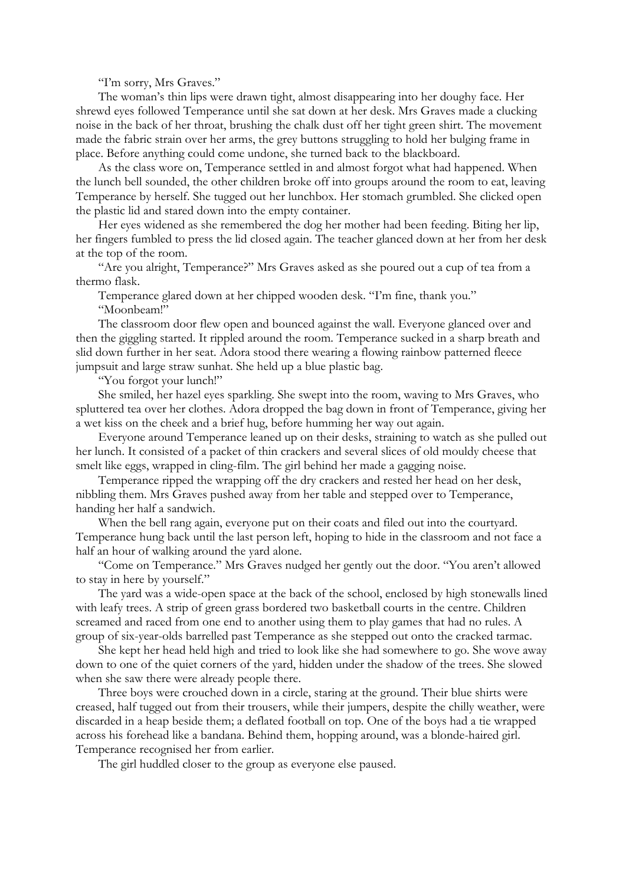"I'm sorry, Mrs Graves."

The woman's thin lips were drawn tight, almost disappearing into her doughy face. Her shrewd eyes followed Temperance until she sat down at her desk. Mrs Graves made a clucking noise in the back of her throat, brushing the chalk dust off her tight green shirt. The movement made the fabric strain over her arms, the grey buttons struggling to hold her bulging frame in place. Before anything could come undone, she turned back to the blackboard.

As the class wore on, Temperance settled in and almost forgot what had happened. When the lunch bell sounded, the other children broke off into groups around the room to eat, leaving Temperance by herself. She tugged out her lunchbox. Her stomach grumbled. She clicked open the plastic lid and stared down into the empty container.

Her eyes widened as she remembered the dog her mother had been feeding. Biting her lip, her fingers fumbled to press the lid closed again. The teacher glanced down at her from her desk at the top of the room.

"Are you alright, Temperance?" Mrs Graves asked as she poured out a cup of tea from a thermo flask.

Temperance glared down at her chipped wooden desk. "I'm fine, thank you." "Moonbeam!"

The classroom door flew open and bounced against the wall. Everyone glanced over and then the giggling started. It rippled around the room. Temperance sucked in a sharp breath and slid down further in her seat. Adora stood there wearing a flowing rainbow patterned fleece jumpsuit and large straw sunhat. She held up a blue plastic bag.

"You forgot your lunch!"

She smiled, her hazel eyes sparkling. She swept into the room, waving to Mrs Graves, who spluttered tea over her clothes. Adora dropped the bag down in front of Temperance, giving her a wet kiss on the cheek and a brief hug, before humming her way out again.

Everyone around Temperance leaned up on their desks, straining to watch as she pulled out her lunch. It consisted of a packet of thin crackers and several slices of old mouldy cheese that smelt like eggs, wrapped in cling-film. The girl behind her made a gagging noise.

Temperance ripped the wrapping off the dry crackers and rested her head on her desk, nibbling them. Mrs Graves pushed away from her table and stepped over to Temperance, handing her half a sandwich.

When the bell rang again, everyone put on their coats and filed out into the courtyard. Temperance hung back until the last person left, hoping to hide in the classroom and not face a half an hour of walking around the yard alone.

"Come on Temperance." Mrs Graves nudged her gently out the door. "You aren't allowed to stay in here by yourself."

The yard was a wide-open space at the back of the school, enclosed by high stonewalls lined with leafy trees. A strip of green grass bordered two basketball courts in the centre. Children screamed and raced from one end to another using them to play games that had no rules. A group of six-year-olds barrelled past Temperance as she stepped out onto the cracked tarmac.

She kept her head held high and tried to look like she had somewhere to go. She wove away down to one of the quiet corners of the yard, hidden under the shadow of the trees. She slowed when she saw there were already people there.

Three boys were crouched down in a circle, staring at the ground. Their blue shirts were creased, half tugged out from their trousers, while their jumpers, despite the chilly weather, were discarded in a heap beside them; a deflated football on top. One of the boys had a tie wrapped across his forehead like a bandana. Behind them, hopping around, was a blonde-haired girl. Temperance recognised her from earlier.

The girl huddled closer to the group as everyone else paused.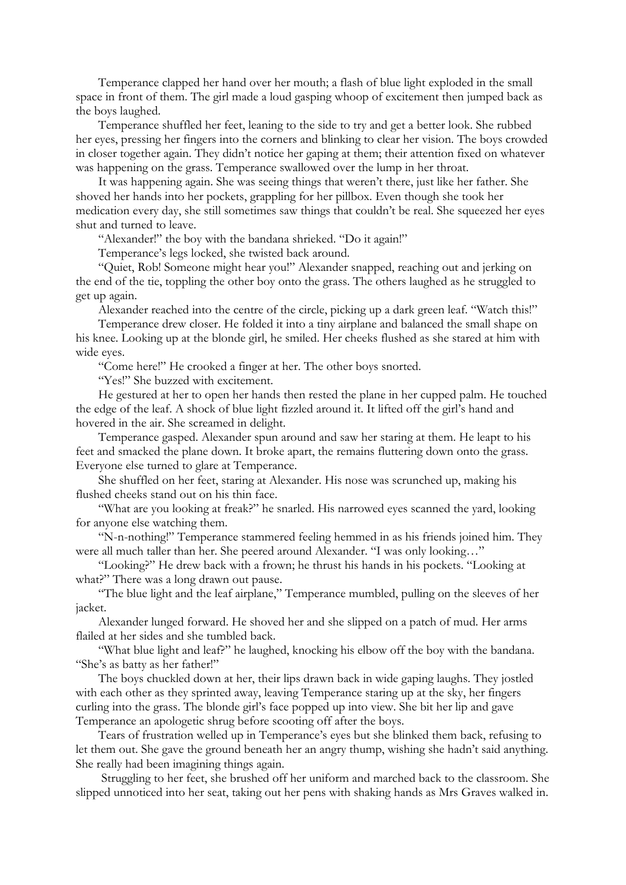Temperance clapped her hand over her mouth; a flash of blue light exploded in the small space in front of them. The girl made a loud gasping whoop of excitement then jumped back as the boys laughed.

Temperance shuffled her feet, leaning to the side to try and get a better look. She rubbed her eyes, pressing her fingers into the corners and blinking to clear her vision. The boys crowded in closer together again. They didn't notice her gaping at them; their attention fixed on whatever was happening on the grass. Temperance swallowed over the lump in her throat.

It was happening again. She was seeing things that weren't there, just like her father. She shoved her hands into her pockets, grappling for her pillbox. Even though she took her medication every day, she still sometimes saw things that couldn't be real. She squeezed her eyes shut and turned to leave.

"Alexander!" the boy with the bandana shrieked. "Do it again!"

Temperance's legs locked, she twisted back around.

"Quiet, Rob! Someone might hear you!" Alexander snapped, reaching out and jerking on the end of the tie, toppling the other boy onto the grass. The others laughed as he struggled to get up again.

Alexander reached into the centre of the circle, picking up a dark green leaf. "Watch this!"

Temperance drew closer. He folded it into a tiny airplane and balanced the small shape on his knee. Looking up at the blonde girl, he smiled. Her cheeks flushed as she stared at him with wide eyes.

"Come here!" He crooked a finger at her. The other boys snorted.

"Yes!" She buzzed with excitement.

He gestured at her to open her hands then rested the plane in her cupped palm. He touched the edge of the leaf. A shock of blue light fizzled around it. It lifted off the girl's hand and hovered in the air. She screamed in delight.

Temperance gasped. Alexander spun around and saw her staring at them. He leapt to his feet and smacked the plane down. It broke apart, the remains fluttering down onto the grass. Everyone else turned to glare at Temperance.

She shuffled on her feet, staring at Alexander. His nose was scrunched up, making his flushed cheeks stand out on his thin face.

"What are you looking at freak?" he snarled. His narrowed eyes scanned the yard, looking for anyone else watching them.

"N-n-nothing!" Temperance stammered feeling hemmed in as his friends joined him. They were all much taller than her. She peered around Alexander. "I was only looking…"

"Looking?" He drew back with a frown; he thrust his hands in his pockets. "Looking at what?" There was a long drawn out pause.

"The blue light and the leaf airplane," Temperance mumbled, pulling on the sleeves of her jacket.

Alexander lunged forward. He shoved her and she slipped on a patch of mud. Her arms flailed at her sides and she tumbled back.

"What blue light and leaf?" he laughed, knocking his elbow off the boy with the bandana. "She's as batty as her father!"

The boys chuckled down at her, their lips drawn back in wide gaping laughs. They jostled with each other as they sprinted away, leaving Temperance staring up at the sky, her fingers curling into the grass. The blonde girl's face popped up into view. She bit her lip and gave Temperance an apologetic shrug before scooting off after the boys.

Tears of frustration welled up in Temperance's eyes but she blinked them back, refusing to let them out. She gave the ground beneath her an angry thump, wishing she hadn't said anything. She really had been imagining things again.

 Struggling to her feet, she brushed off her uniform and marched back to the classroom. She slipped unnoticed into her seat, taking out her pens with shaking hands as Mrs Graves walked in.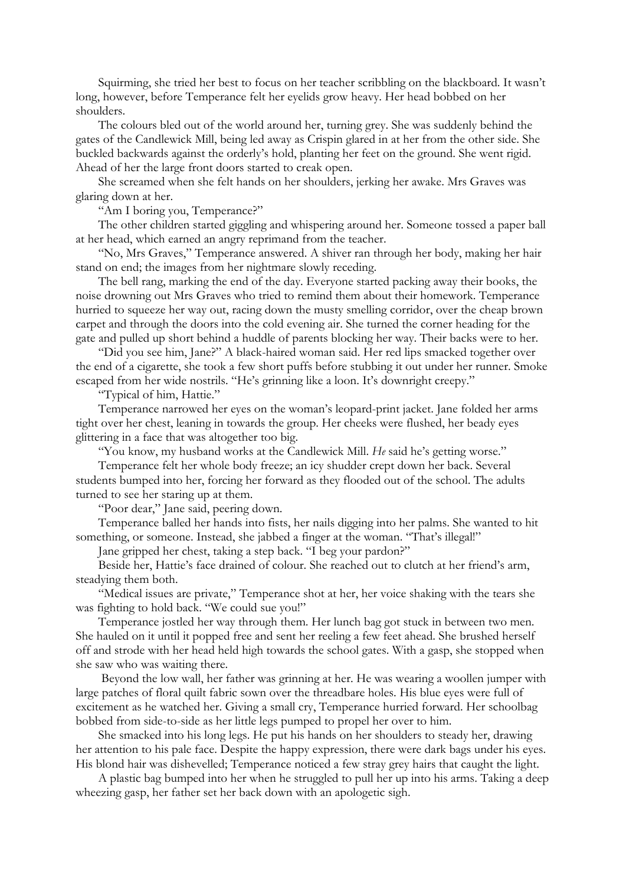Squirming, she tried her best to focus on her teacher scribbling on the blackboard. It wasn't long, however, before Temperance felt her eyelids grow heavy. Her head bobbed on her shoulders.

The colours bled out of the world around her, turning grey. She was suddenly behind the gates of the Candlewick Mill, being led away as Crispin glared in at her from the other side. She buckled backwards against the orderly's hold, planting her feet on the ground. She went rigid. Ahead of her the large front doors started to creak open.

She screamed when she felt hands on her shoulders, jerking her awake. Mrs Graves was glaring down at her.

"Am I boring you, Temperance?"

The other children started giggling and whispering around her. Someone tossed a paper ball at her head, which earned an angry reprimand from the teacher.

"No, Mrs Graves," Temperance answered. A shiver ran through her body, making her hair stand on end; the images from her nightmare slowly receding.

The bell rang, marking the end of the day. Everyone started packing away their books, the noise drowning out Mrs Graves who tried to remind them about their homework. Temperance hurried to squeeze her way out, racing down the musty smelling corridor, over the cheap brown carpet and through the doors into the cold evening air. She turned the corner heading for the gate and pulled up short behind a huddle of parents blocking her way. Their backs were to her.

"Did you see him, Jane?" A black-haired woman said. Her red lips smacked together over the end of a cigarette, she took a few short puffs before stubbing it out under her runner. Smoke escaped from her wide nostrils. "He's grinning like a loon. It's downright creepy."

"Typical of him, Hattie."

Temperance narrowed her eyes on the woman's leopard-print jacket. Jane folded her arms tight over her chest, leaning in towards the group. Her cheeks were flushed, her beady eyes glittering in a face that was altogether too big.

"You know, my husband works at the Candlewick Mill. *He* said he's getting worse."

Temperance felt her whole body freeze; an icy shudder crept down her back. Several students bumped into her, forcing her forward as they flooded out of the school. The adults turned to see her staring up at them.

"Poor dear," Jane said, peering down.

Temperance balled her hands into fists, her nails digging into her palms. She wanted to hit something, or someone. Instead, she jabbed a finger at the woman. "That's illegal!"

Jane gripped her chest, taking a step back. "I beg your pardon?"

Beside her, Hattie's face drained of colour. She reached out to clutch at her friend's arm, steadying them both.

"Medical issues are private," Temperance shot at her, her voice shaking with the tears she was fighting to hold back. "We could sue you!"

Temperance jostled her way through them. Her lunch bag got stuck in between two men. She hauled on it until it popped free and sent her reeling a few feet ahead. She brushed herself off and strode with her head held high towards the school gates. With a gasp, she stopped when she saw who was waiting there.

 Beyond the low wall, her father was grinning at her. He was wearing a woollen jumper with large patches of floral quilt fabric sown over the threadbare holes. His blue eyes were full of excitement as he watched her. Giving a small cry, Temperance hurried forward. Her schoolbag bobbed from side-to-side as her little legs pumped to propel her over to him.

She smacked into his long legs. He put his hands on her shoulders to steady her, drawing her attention to his pale face. Despite the happy expression, there were dark bags under his eyes. His blond hair was dishevelled; Temperance noticed a few stray grey hairs that caught the light.

A plastic bag bumped into her when he struggled to pull her up into his arms. Taking a deep wheezing gasp, her father set her back down with an apologetic sigh.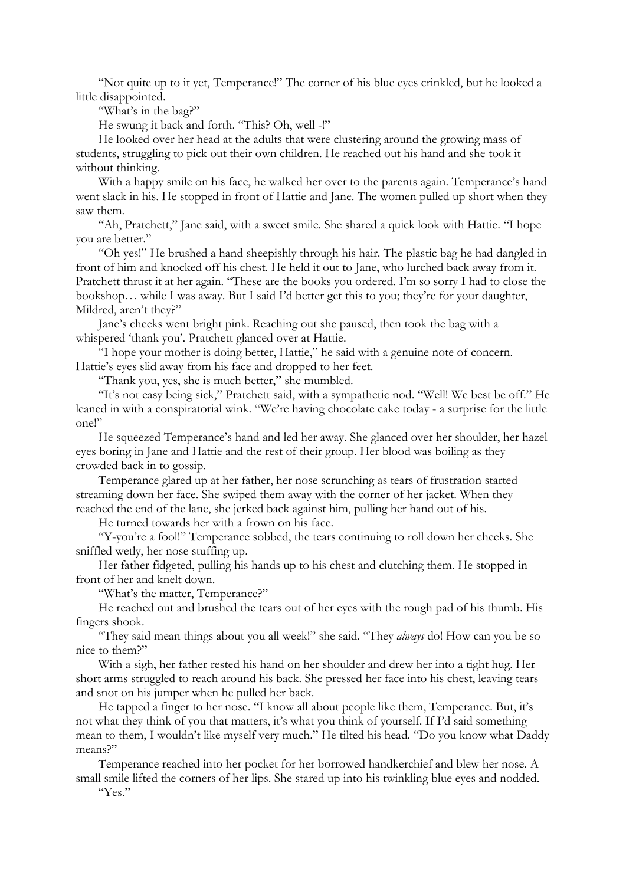"Not quite up to it yet, Temperance!" The corner of his blue eyes crinkled, but he looked a little disappointed.

"What's in the bag?"

He swung it back and forth. "This? Oh, well -!"

He looked over her head at the adults that were clustering around the growing mass of students, struggling to pick out their own children. He reached out his hand and she took it without thinking.

With a happy smile on his face, he walked her over to the parents again. Temperance's hand went slack in his. He stopped in front of Hattie and Jane. The women pulled up short when they saw them.

"Ah, Pratchett," Jane said, with a sweet smile. She shared a quick look with Hattie. "I hope you are better."

"Oh yes!" He brushed a hand sheepishly through his hair. The plastic bag he had dangled in front of him and knocked off his chest. He held it out to Jane, who lurched back away from it. Pratchett thrust it at her again. "These are the books you ordered. I'm so sorry I had to close the bookshop… while I was away. But I said I'd better get this to you; they're for your daughter, Mildred, aren't they?"

Jane's cheeks went bright pink. Reaching out she paused, then took the bag with a whispered 'thank you'. Pratchett glanced over at Hattie.

"I hope your mother is doing better, Hattie," he said with a genuine note of concern. Hattie's eyes slid away from his face and dropped to her feet.

"Thank you, yes, she is much better," she mumbled.

"It's not easy being sick," Pratchett said, with a sympathetic nod. "Well! We best be off." He leaned in with a conspiratorial wink. "We're having chocolate cake today - a surprise for the little one!"

He squeezed Temperance's hand and led her away. She glanced over her shoulder, her hazel eyes boring in Jane and Hattie and the rest of their group. Her blood was boiling as they crowded back in to gossip.

Temperance glared up at her father, her nose scrunching as tears of frustration started streaming down her face. She swiped them away with the corner of her jacket. When they reached the end of the lane, she jerked back against him, pulling her hand out of his.

He turned towards her with a frown on his face.

"Y-you're a fool!" Temperance sobbed, the tears continuing to roll down her cheeks. She sniffled wetly, her nose stuffing up.

Her father fidgeted, pulling his hands up to his chest and clutching them. He stopped in front of her and knelt down.

"What's the matter, Temperance?"

He reached out and brushed the tears out of her eyes with the rough pad of his thumb. His fingers shook.

"They said mean things about you all week!" she said. "They *always* do! How can you be so nice to them?"

With a sigh, her father rested his hand on her shoulder and drew her into a tight hug. Her short arms struggled to reach around his back. She pressed her face into his chest, leaving tears and snot on his jumper when he pulled her back.

He tapped a finger to her nose. "I know all about people like them, Temperance. But, it's not what they think of you that matters, it's what you think of yourself. If I'd said something mean to them, I wouldn't like myself very much." He tilted his head. "Do you know what Daddy means?"

Temperance reached into her pocket for her borrowed handkerchief and blew her nose. A small smile lifted the corners of her lips. She stared up into his twinkling blue eyes and nodded.

"Yes."